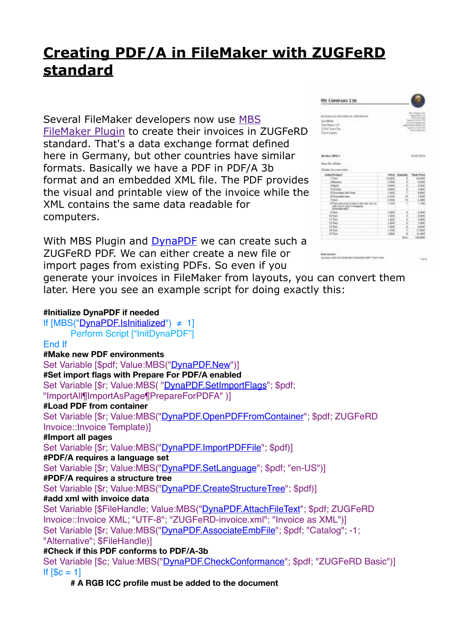## **[Creating PDF/A in FileMaker with ZUGFeRD](https://www.mbsplugins.de/archive/2017-03-07/Creating_PDFA_in_FileMaker_wit)  [standard](https://www.mbsplugins.de/archive/2017-03-07/Creating_PDFA_in_FileMaker_wit)**

Several FileMaker developers now use [MBS](http://www.monkeybreadsoftware.de/filemaker/)  [FileMaker Plugin](http://www.monkeybreadsoftware.de/filemaker/) to create their invoices in ZUGFeRD standard. That's a data exchange format defined here in Germany, but other countries have similar formats. Basically we have a PDF in PDF/A 3b format and an embedded XML file. The PDF provides the visual and printable view of the invoice while the XML contains the same data readable for computers.

With MBS Plugin and [DynaPDF](http://www.monkeybreadsoftware.de/filemaker/dynapdf.shtml) we can create such a ZUGFeRD PDF. We can either create a new file or import pages from existing PDFs. So even if you

| between the benefited VV . Welcline the<br>Jan Miller<br>Tive Notes 129:<br>LTAF Tex Car.<br>THE CHARTY | <b>Bitt New Council of All</b><br>Date Step 15<br><b>Collection Swin</b><br>Days (City City Die-<br>KINSULSURING ISS.<br>reported to the field and most<br>locality 410 and find<br>2010 12:00:00<br><b>AN ENGINEERING</b> |               |                    |
|---------------------------------------------------------------------------------------------------------|----------------------------------------------------------------------------------------------------------------------------------------------------------------------------------------------------------------------------|---------------|--------------------|
| Brooks 2016-1<br>Don St. Miller                                                                         |                                                                                                                                                                                                                            |               | <b>MACRA</b>       |
| Thanks ink-your noise.                                                                                  | Chairman Charles and the country                                                                                                                                                                                           |               |                    |
|                                                                                                         | Pilot. I                                                                                                                                                                                                                   |               | a may              |
| Index Product                                                                                           |                                                                                                                                                                                                                            |               |                    |
| t Taxer                                                                                                 | 12/04/1                                                                                                                                                                                                                    |               | is not             |
| <b>I have a</b>                                                                                         | $+364$                                                                                                                                                                                                                     | s.            | <b>GRA</b>         |
| <b>Virturle</b>                                                                                         | 0.364                                                                                                                                                                                                                      | u             | 1,959              |
| 4 Olafge                                                                                                | cost.                                                                                                                                                                                                                      | ×<br>÷        | 4,805              |
| ELIMINATE ARCHIVES                                                                                      | 1,404                                                                                                                                                                                                                      | ۰             | <b>LAH</b>         |
| <b>EChamber Ivers</b>                                                                                   | 0.304                                                                                                                                                                                                                      | ÷<br>$\equiv$ | 1,604              |
| <b>TEMP-</b><br>If Secrets and of set in he can be to<br>Joseph High Emileping                          | <b>GONT</b><br>1.908                                                                                                                                                                                                       | н             | 0,334<br>1.100     |
| <b>John</b>                                                                                             |                                                                                                                                                                                                                            |               | 3,404              |
| <b>STM1</b><br>10 <sup>'hull</sup>                                                                      | 1,304<br>1,908                                                                                                                                                                                                             | r<br>é        | 1,501              |
| 11 Test                                                                                                 | 1.806                                                                                                                                                                                                                      | ×             | 1,400              |
| <b>IE'lesi</b>                                                                                          | 1.024                                                                                                                                                                                                                      | ú             | <b>Tube</b>        |
| 1.0 Tues L.                                                                                             | 1.004                                                                                                                                                                                                                      | u             | <b>KAW</b>         |
| 14 Tourt                                                                                                | 1,998                                                                                                                                                                                                                      | ÷             | 11,996             |
| <b>EC</b> loss<br>-77                                                                                   | Liked.                                                                                                                                                                                                                     |               | 14,404<br>106, 604 |

generate your invoices in FileMaker from layouts, you can convert them later. Here you see an example script for doing exactly this:

## **#Initialize DynaPDF if needed**

If  $[MBS("DynaPDF.1sInitialized") \neq 1]$ Perform Script ["InitDynaPDF"] End If **#Make new PDF environments** Set Variable [\$pdf; Value:MBS(["DynaPDF.New](http://www.mbsplugins.eu/DynaPDFNew.shtml)")] **#Set import flags with Prepare For PDF/A enabled** Set Variable [\$r; Value:MBS( ["DynaPDF.SetImportFlags](http://www.mbsplugins.eu/DynaPDFSetImportFlags.shtml)": \$pdf: "ImportAll¶ImportAsPage¶PrepareForPDFA" )] **#Load PDF from container** Set Variable [\$r; Value:MBS("[DynaPDF.OpenPDFFromContainer](http://www.mbsplugins.eu/DynaPDFOpenPDFFromContainer.shtml)"; \$pdf; ZUGFeRD Invoice::Invoice Template)] **#Import all pages** Set Variable [\$r; Value:MBS("[DynaPDF.ImportPDFFile](http://www.mbsplugins.eu/DynaPDFImportPDFFile.shtml)"; \$pdf)] **#PDF/A requires a language set** Set Variable [\$r; Value:MBS("[DynaPDF.SetLanguage](http://www.mbsplugins.eu/DynaPDFSetLanguage.shtml)"; \$pdf; "en-US")] **#PDF/A requires a structure tree** Set Variable [\$r; Value:MBS("[DynaPDF.CreateStructureTree"](http://www.mbsplugins.eu/DynaPDFCreateStructureTree.shtml); \$pdf)] **#add xml with invoice data** Set Variable [\$FileHandle; Value:MBS(["DynaPDF.AttachFileText](http://www.mbsplugins.eu/DynaPDFAttachFileText.shtml)"; \$pdf; ZUGFeRD Invoice::Invoice XML; "UTF-8"; "ZUGFeRD-invoice.xml"; "Invoice as XML")] Set Variable [\$r; Value:MBS("[DynaPDF.AssociateEmbFile"](http://www.mbsplugins.eu/DynaPDFAssociateEmbFile.shtml); \$pdf; "Catalog"; -1; "Alternative"; \$FileHandle)] **#Check if this PDF conforms to PDF/A-3b** Set Variable [\$c; Value:MBS("[DynaPDF.CheckConformance"](http://www.mbsplugins.eu/DynaPDFCheckConformance.shtml); \$pdf; "ZUGFeRD Basic")]

If  $[$c = 1]$ 

**# A RGB ICC profile must be added to the document**